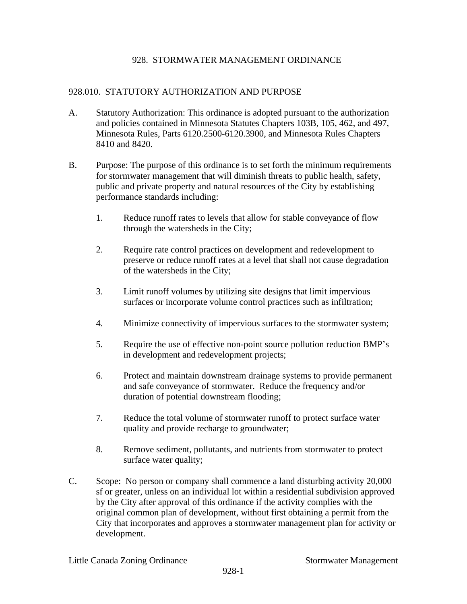# 928. STORMWATER MANAGEMENT ORDINANCE

## 928.010. STATUTORY AUTHORIZATION AND PURPOSE

- A. Statutory Authorization: This ordinance is adopted pursuant to the authorization and policies contained in Minnesota Statutes Chapters 103B, 105, 462, and 497, Minnesota Rules, Parts 6120.2500-6120.3900, and Minnesota Rules Chapters 8410 and 8420.
- B. Purpose: The purpose of this ordinance is to set forth the minimum requirements for stormwater management that will diminish threats to public health, safety, public and private property and natural resources of the City by establishing performance standards including:
	- 1. Reduce runoff rates to levels that allow for stable conveyance of flow through the watersheds in the City;
	- 2. Require rate control practices on development and redevelopment to preserve or reduce runoff rates at a level that shall not cause degradation of the watersheds in the City;
	- 3. Limit runoff volumes by utilizing site designs that limit impervious surfaces or incorporate volume control practices such as infiltration;
	- 4. Minimize connectivity of impervious surfaces to the stormwater system;
	- 5. Require the use of effective non-point source pollution reduction BMP's in development and redevelopment projects;
	- 6. Protect and maintain downstream drainage systems to provide permanent and safe conveyance of stormwater. Reduce the frequency and/or duration of potential downstream flooding;
	- 7. Reduce the total volume of stormwater runoff to protect surface water quality and provide recharge to groundwater;
	- 8. Remove sediment, pollutants, and nutrients from stormwater to protect surface water quality;
- C. Scope: No person or company shall commence a land disturbing activity 20,000 sf or greater, unless on an individual lot within a residential subdivision approved by the City after approval of this ordinance if the activity complies with the original common plan of development, without first obtaining a permit from the City that incorporates and approves a stormwater management plan for activity or development.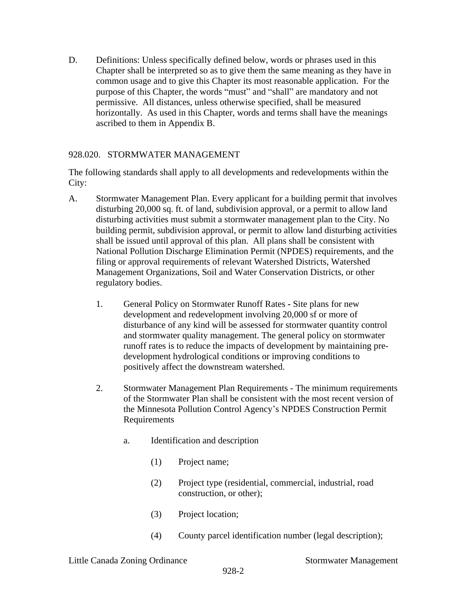D. Definitions: Unless specifically defined below, words or phrases used in this Chapter shall be interpreted so as to give them the same meaning as they have in common usage and to give this Chapter its most reasonable application. For the purpose of this Chapter, the words "must" and "shall" are mandatory and not permissive. All distances, unless otherwise specified, shall be measured horizontally. As used in this Chapter, words and terms shall have the meanings ascribed to them in Appendix B.

# 928.020. STORMWATER MANAGEMENT

The following standards shall apply to all developments and redevelopments within the City:

- A. Stormwater Management Plan. Every applicant for a building permit that involves disturbing 20,000 sq. ft. of land, subdivision approval, or a permit to allow land disturbing activities must submit a stormwater management plan to the City. No building permit, subdivision approval, or permit to allow land disturbing activities shall be issued until approval of this plan. All plans shall be consistent with National Pollution Discharge Elimination Permit (NPDES) requirements, and the filing or approval requirements of relevant Watershed Districts, Watershed Management Organizations, Soil and Water Conservation Districts, or other regulatory bodies.
	- 1. General Policy on Stormwater Runoff Rates Site plans for new development and redevelopment involving 20,000 sf or more of disturbance of any kind will be assessed for stormwater quantity control and stormwater quality management. The general policy on stormwater runoff rates is to reduce the impacts of development by maintaining predevelopment hydrological conditions or improving conditions to positively affect the downstream watershed.
	- 2. Stormwater Management Plan Requirements The minimum requirements of the Stormwater Plan shall be consistent with the most recent version of the Minnesota Pollution Control Agency's NPDES Construction Permit Requirements
		- a. Identification and description
			- (1) Project name;
			- (2) Project type (residential, commercial, industrial, road construction, or other);
			- (3) Project location;
			- (4) County parcel identification number (legal description);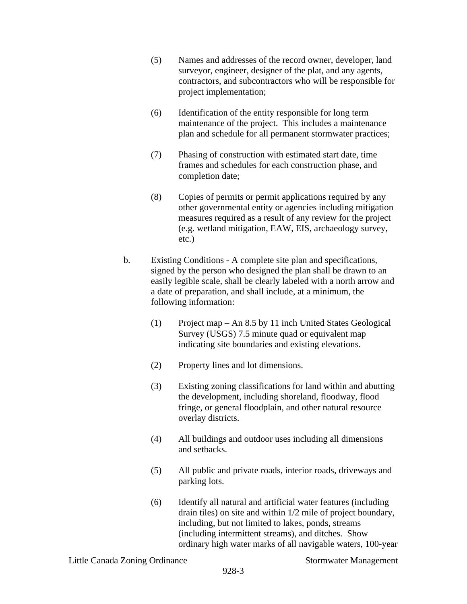- (5) Names and addresses of the record owner, developer, land surveyor, engineer, designer of the plat, and any agents, contractors, and subcontractors who will be responsible for project implementation;
- (6) Identification of the entity responsible for long term maintenance of the project. This includes a maintenance plan and schedule for all permanent stormwater practices;
- (7) Phasing of construction with estimated start date, time frames and schedules for each construction phase, and completion date;
- (8) Copies of permits or permit applications required by any other governmental entity or agencies including mitigation measures required as a result of any review for the project (e.g. wetland mitigation, EAW, EIS, archaeology survey, etc.)
- b. Existing Conditions A complete site plan and specifications, signed by the person who designed the plan shall be drawn to an easily legible scale, shall be clearly labeled with a north arrow and a date of preparation, and shall include, at a minimum, the following information:
	- (1) Project map An 8.5 by 11 inch United States Geological Survey (USGS) 7.5 minute quad or equivalent map indicating site boundaries and existing elevations.
	- (2) Property lines and lot dimensions.
	- (3) Existing zoning classifications for land within and abutting the development, including shoreland, floodway, flood fringe, or general floodplain, and other natural resource overlay districts.
	- (4) All buildings and outdoor uses including all dimensions and setbacks.
	- (5) All public and private roads, interior roads, driveways and parking lots.
	- (6) Identify all natural and artificial water features (including drain tiles) on site and within 1/2 mile of project boundary, including, but not limited to lakes, ponds, streams (including intermittent streams), and ditches. Show ordinary high water marks of all navigable waters, 100-year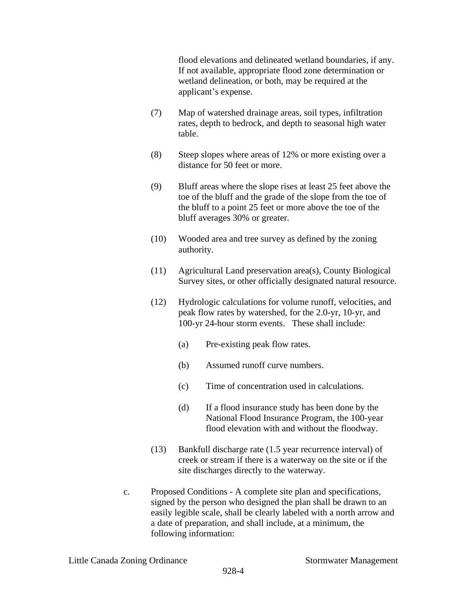flood elevations and delineated wetland boundaries, if any. If not available, appropriate flood zone determination or wetland delineation, or both, may be required at the applicant's expense.

- (7) Map of watershed drainage areas, soil types, infiltration rates, depth to bedrock, and depth to seasonal high water table.
- (8) Steep slopes where areas of 12% or more existing over a distance for 50 feet or more.
- (9) Bluff areas where the slope rises at least 25 feet above the toe of the bluff and the grade of the slope from the toe of the bluff to a point 25 feet or more above the toe of the bluff averages 30% or greater.
- (10) Wooded area and tree survey as defined by the zoning authority.
- (11) Agricultural Land preservation area(s), County Biological Survey sites, or other officially designated natural resource.
- (12) Hydrologic calculations for volume runoff, velocities, and peak flow rates by watershed, for the 2.0-yr, 10-yr, and 100-yr 24-hour storm events. These shall include:
	- (a) Pre-existing peak flow rates.
	- (b) Assumed runoff curve numbers.
	- (c) Time of concentration used in calculations.
	- (d) If a flood insurance study has been done by the National Flood Insurance Program, the 100-year flood elevation with and without the floodway.
- (13) Bankfull discharge rate (1.5 year recurrence interval) of creek or stream if there is a waterway on the site or if the site discharges directly to the waterway.
- c. Proposed Conditions A complete site plan and specifications, signed by the person who designed the plan shall be drawn to an easily legible scale, shall be clearly labeled with a north arrow and a date of preparation, and shall include, at a minimum, the following information: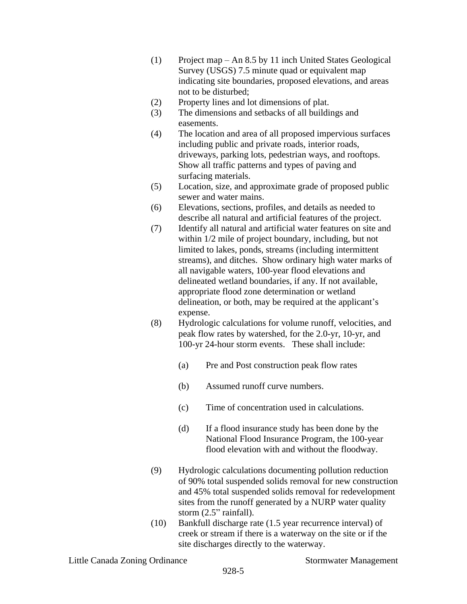- (1) Project map An 8.5 by 11 inch United States Geological Survey (USGS) 7.5 minute quad or equivalent map indicating site boundaries, proposed elevations, and areas not to be disturbed;
- (2) Property lines and lot dimensions of plat.
- (3) The dimensions and setbacks of all buildings and easements.
- (4) The location and area of all proposed impervious surfaces including public and private roads, interior roads, driveways, parking lots, pedestrian ways, and rooftops. Show all traffic patterns and types of paving and surfacing materials.
- (5) Location, size, and approximate grade of proposed public sewer and water mains.
- (6) Elevations, sections, profiles, and details as needed to describe all natural and artificial features of the project.
- (7) Identify all natural and artificial water features on site and within 1/2 mile of project boundary, including, but not limited to lakes, ponds, streams (including intermittent streams), and ditches. Show ordinary high water marks of all navigable waters, 100-year flood elevations and delineated wetland boundaries, if any. If not available, appropriate flood zone determination or wetland delineation, or both, may be required at the applicant's expense.
- (8) Hydrologic calculations for volume runoff, velocities, and peak flow rates by watershed, for the 2.0-yr, 10-yr, and 100-yr 24-hour storm events. These shall include:
	- (a) Pre and Post construction peak flow rates
	- (b) Assumed runoff curve numbers.
	- (c) Time of concentration used in calculations.
	- (d) If a flood insurance study has been done by the National Flood Insurance Program, the 100-year flood elevation with and without the floodway.
- (9) Hydrologic calculations documenting pollution reduction of 90% total suspended solids removal for new construction and 45% total suspended solids removal for redevelopment sites from the runoff generated by a NURP water quality storm (2.5" rainfall).
- (10) Bankfull discharge rate (1.5 year recurrence interval) of creek or stream if there is a waterway on the site or if the site discharges directly to the waterway.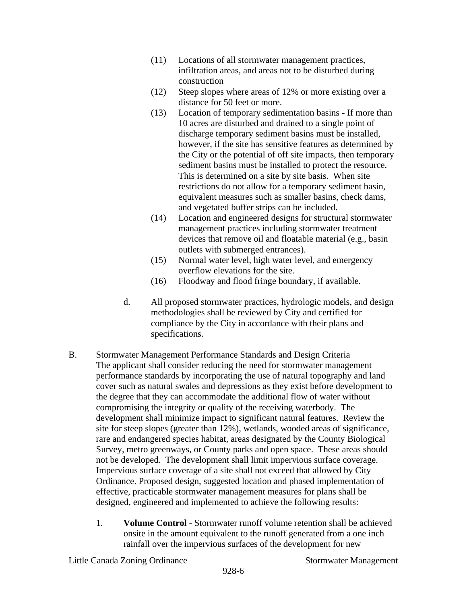- (11) Locations of all stormwater management practices, infiltration areas, and areas not to be disturbed during construction
- (12) Steep slopes where areas of 12% or more existing over a distance for 50 feet or more.
- (13) Location of temporary sedimentation basins If more than 10 acres are disturbed and drained to a single point of discharge temporary sediment basins must be installed, however, if the site has sensitive features as determined by the City or the potential of off site impacts, then temporary sediment basins must be installed to protect the resource. This is determined on a site by site basis. When site restrictions do not allow for a temporary sediment basin, equivalent measures such as smaller basins, check dams, and vegetated buffer strips can be included.
- (14) Location and engineered designs for structural stormwater management practices including stormwater treatment devices that remove oil and floatable material (e.g., basin outlets with submerged entrances).
- (15) Normal water level, high water level, and emergency overflow elevations for the site.
- (16) Floodway and flood fringe boundary, if available.
- d. All proposed stormwater practices, hydrologic models, and design methodologies shall be reviewed by City and certified for compliance by the City in accordance with their plans and specifications.
- B. Stormwater Management Performance Standards and Design Criteria The applicant shall consider reducing the need for stormwater management performance standards by incorporating the use of natural topography and land cover such as natural swales and depressions as they exist before development to the degree that they can accommodate the additional flow of water without compromising the integrity or quality of the receiving waterbody. The development shall minimize impact to significant natural features. Review the site for steep slopes (greater than 12%), wetlands, wooded areas of significance, rare and endangered species habitat, areas designated by the County Biological Survey, metro greenways, or County parks and open space. These areas should not be developed. The development shall limit impervious surface coverage. Impervious surface coverage of a site shall not exceed that allowed by City Ordinance. Proposed design, suggested location and phased implementation of effective, practicable stormwater management measures for plans shall be designed, engineered and implemented to achieve the following results:
	- 1. **Volume Control**  Stormwater runoff volume retention shall be achieved onsite in the amount equivalent to the runoff generated from a one inch rainfall over the impervious surfaces of the development for new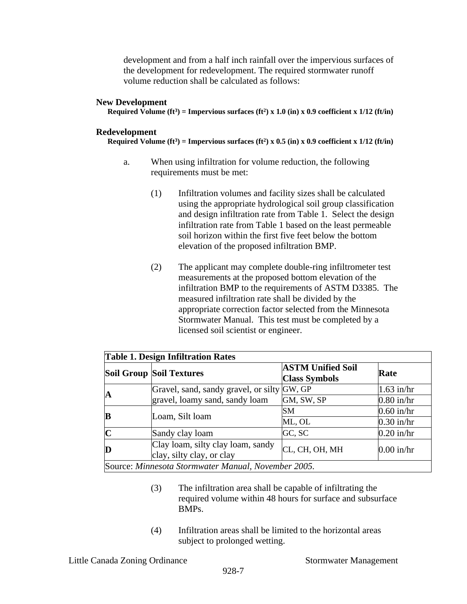development and from a half inch rainfall over the impervious surfaces of the development for redevelopment. The required stormwater runoff volume reduction shall be calculated as follows:

#### **New Development**

**Required Volume (ft<sup>3</sup>) = Impervious surfaces (ft<sup>2</sup>) x 1.0 (in) x 0.9 coefficient x 1/12 (ft/in)** 

### **Redevelopment**

**Required Volume (ft<sup>3</sup>) = Impervious surfaces (ft<sup>2</sup>) x 0.5 (in) x 0.9 coefficient x 1/12 (ft/in)** 

- a. When using infiltration for volume reduction, the following requirements must be met:
	- (1) Infiltration volumes and facility sizes shall be calculated using the appropriate hydrological soil group classification and design infiltration rate from Table 1. Select the design infiltration rate from Table 1 based on the least permeable soil horizon within the first five feet below the bottom elevation of the proposed infiltration BMP.
	- (2) The applicant may complete double-ring infiltrometer test measurements at the proposed bottom elevation of the infiltration BMP to the requirements of ASTM D3385. The measured infiltration rate shall be divided by the appropriate correction factor selected from the Minnesota Stormwater Manual. This test must be completed by a licensed soil scientist or engineer.

| <b>Table 1. Design Infiltration Rates</b>           |                                                                |                                                  |              |  |  |  |
|-----------------------------------------------------|----------------------------------------------------------------|--------------------------------------------------|--------------|--|--|--|
|                                                     | Soil Group Soil Textures                                       | <b>ASTM Unified Soil</b><br><b>Class Symbols</b> | Rate         |  |  |  |
| IA                                                  | Gravel, sand, sandy gravel, or silty GW, GP                    |                                                  | $1.63$ in/hr |  |  |  |
|                                                     | gravel, loamy sand, sandy loam                                 | GM, SW, SP                                       | $0.80$ in/hr |  |  |  |
| B                                                   | Loam, Silt loam                                                | lSΜ                                              | $0.60$ in/hr |  |  |  |
|                                                     |                                                                | ML, OL                                           | $0.30$ in/hr |  |  |  |
| $\mathbf C$                                         | Sandy clay loam                                                | GC, SC                                           | $0.20$ in/hr |  |  |  |
| D                                                   | Clay loam, silty clay loam, sandy<br>clay, silty clay, or clay | CL, CH, OH, MH                                   | $0.00$ in/hr |  |  |  |
| Source: Minnesota Stormwater Manual, November 2005. |                                                                |                                                  |              |  |  |  |

- (3) The infiltration area shall be capable of infiltrating the required volume within 48 hours for surface and subsurface BMPs.
- (4) Infiltration areas shall be limited to the horizontal areas subject to prolonged wetting.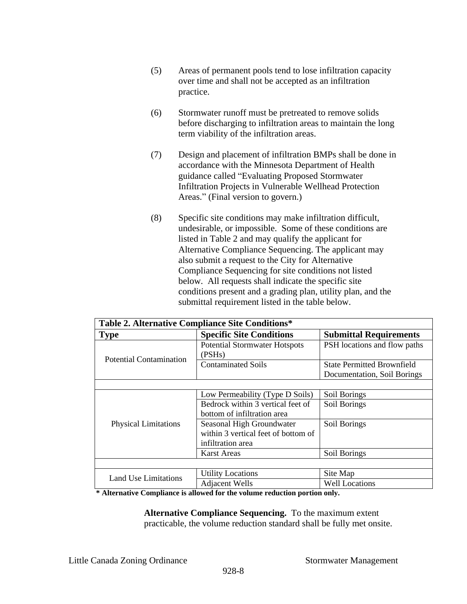- (5) Areas of permanent pools tend to lose infiltration capacity over time and shall not be accepted as an infiltration practice.
- (6) Stormwater runoff must be pretreated to remove solids before discharging to infiltration areas to maintain the long term viability of the infiltration areas.
- (7) Design and placement of infiltration BMPs shall be done in accordance with the Minnesota Department of Health guidance called "Evaluating Proposed Stormwater Infiltration Projects in Vulnerable Wellhead Protection Areas." (Final version to govern.)
- (8) Specific site conditions may make infiltration difficult, undesirable, or impossible. Some of these conditions are listed in Table 2 and may qualify the applicant for Alternative Compliance Sequencing. The applicant may also submit a request to the City for Alternative Compliance Sequencing for site conditions not listed below. All requests shall indicate the specific site conditions present and a grading plan, utility plan, and the submittal requirement listed in the table below.

| Table 2. Alternative Compliance Site Conditions* |                                                                                       |                                                                  |  |  |  |
|--------------------------------------------------|---------------------------------------------------------------------------------------|------------------------------------------------------------------|--|--|--|
| <b>Type</b>                                      | <b>Specific Site Conditions</b>                                                       | <b>Submittal Requirements</b>                                    |  |  |  |
| <b>Potential Contamination</b>                   | <b>Potential Stormwater Hotspots</b><br>(PSHs)                                        | PSH locations and flow paths                                     |  |  |  |
|                                                  | <b>Contaminated Soils</b>                                                             | <b>State Permitted Brownfield</b><br>Documentation, Soil Borings |  |  |  |
|                                                  |                                                                                       |                                                                  |  |  |  |
|                                                  | Low Permeability (Type D Soils)                                                       | Soil Borings                                                     |  |  |  |
|                                                  | Bedrock within 3 vertical feet of<br>bottom of infiltration area                      | Soil Borings                                                     |  |  |  |
| <b>Physical Limitations</b>                      | Seasonal High Groundwater<br>within 3 vertical feet of bottom of<br>infiltration area | Soil Borings                                                     |  |  |  |
|                                                  | Karst Areas                                                                           | Soil Borings                                                     |  |  |  |
|                                                  |                                                                                       |                                                                  |  |  |  |
| Land Use Limitations                             | <b>Utility Locations</b>                                                              | Site Map                                                         |  |  |  |
|                                                  | <b>Adjacent Wells</b>                                                                 | <b>Well Locations</b>                                            |  |  |  |

**\* Alternative Compliance is allowed for the volume reduction portion only.**

**Alternative Compliance Sequencing.** To the maximum extent practicable, the volume reduction standard shall be fully met onsite.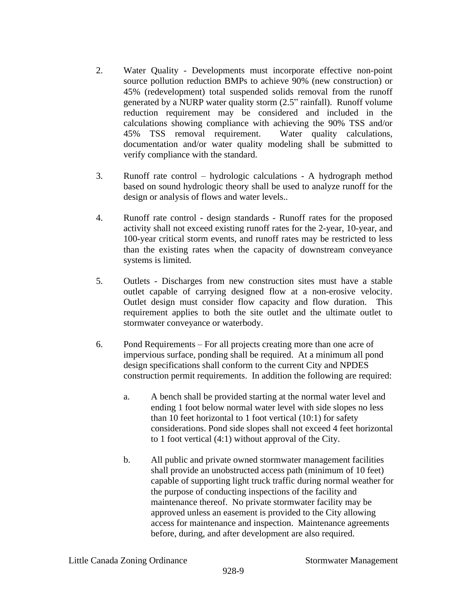- 2. Water Quality Developments must incorporate effective non-point source pollution reduction BMPs to achieve 90% (new construction) or 45% (redevelopment) total suspended solids removal from the runoff generated by a NURP water quality storm (2.5" rainfall). Runoff volume reduction requirement may be considered and included in the calculations showing compliance with achieving the 90% TSS and/or 45% TSS removal requirement. Water quality calculations, documentation and/or water quality modeling shall be submitted to verify compliance with the standard.
- 3. Runoff rate control hydrologic calculations A hydrograph method based on sound hydrologic theory shall be used to analyze runoff for the design or analysis of flows and water levels..
- 4. Runoff rate control design standards Runoff rates for the proposed activity shall not exceed existing runoff rates for the 2-year, 10-year, and 100-year critical storm events, and runoff rates may be restricted to less than the existing rates when the capacity of downstream conveyance systems is limited.
- 5. Outlets Discharges from new construction sites must have a stable outlet capable of carrying designed flow at a non-erosive velocity. Outlet design must consider flow capacity and flow duration. This requirement applies to both the site outlet and the ultimate outlet to stormwater conveyance or waterbody.
- 6. Pond Requirements For all projects creating more than one acre of impervious surface, ponding shall be required. At a minimum all pond design specifications shall conform to the current City and NPDES construction permit requirements. In addition the following are required:
	- a. A bench shall be provided starting at the normal water level and ending 1 foot below normal water level with side slopes no less than 10 feet horizontal to 1 foot vertical (10:1) for safety considerations. Pond side slopes shall not exceed 4 feet horizontal to 1 foot vertical (4:1) without approval of the City.
	- b. All public and private owned stormwater management facilities shall provide an unobstructed access path (minimum of 10 feet) capable of supporting light truck traffic during normal weather for the purpose of conducting inspections of the facility and maintenance thereof. No private stormwater facility may be approved unless an easement is provided to the City allowing access for maintenance and inspection. Maintenance agreements before, during, and after development are also required.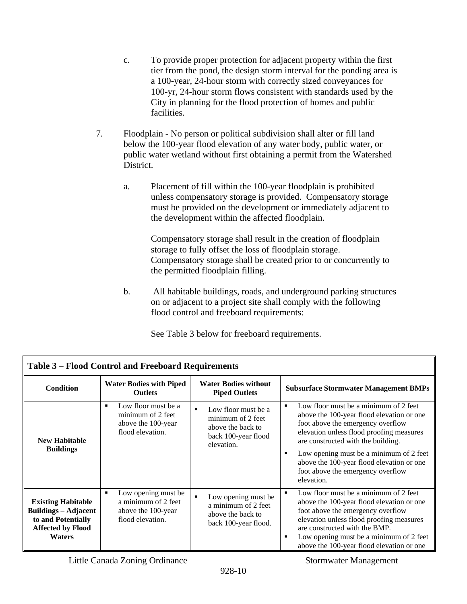- c. To provide proper protection for adjacent property within the first tier from the pond, the design storm interval for the ponding area is a 100-year, 24-hour storm with correctly sized conveyances for 100-yr, 24-hour storm flows consistent with standards used by the City in planning for the flood protection of homes and public facilities.
- 7. Floodplain No person or political subdivision shall alter or fill land below the 100-year flood elevation of any water body, public water, or public water wetland without first obtaining a permit from the Watershed District.
	- a. Placement of fill within the 100-year floodplain is prohibited unless compensatory storage is provided. Compensatory storage must be provided on the development or immediately adjacent to the development within the affected floodplain.

Compensatory storage shall result in the creation of floodplain storage to fully offset the loss of floodplain storage. Compensatory storage shall be created prior to or concurrently to the permitted floodplain filling.

b. All habitable buildings, roads, and underground parking structures on or adjacent to a project site shall comply with the following flood control and freeboard requirements:

| <b>Table 3 – Flood Control and Freeboard Requirements</b>                                                                   |                                                                                                      |                                                                                                                      |                                                                                                                                                                                                                                                                                                                                                                |  |
|-----------------------------------------------------------------------------------------------------------------------------|------------------------------------------------------------------------------------------------------|----------------------------------------------------------------------------------------------------------------------|----------------------------------------------------------------------------------------------------------------------------------------------------------------------------------------------------------------------------------------------------------------------------------------------------------------------------------------------------------------|--|
| <b>Condition</b>                                                                                                            | <b>Water Bodies with Piped</b><br><b>Outlets</b>                                                     | <b>Water Bodies without</b><br><b>Piped Outlets</b>                                                                  | <b>Subsurface Stormwater Management BMPs</b>                                                                                                                                                                                                                                                                                                                   |  |
| <b>New Habitable</b><br><b>Buildings</b>                                                                                    | Low floor must be a<br>$\blacksquare$<br>minimum of 2 feet<br>above the 100-year<br>flood elevation. | Low floor must be a<br>$\blacksquare$<br>minimum of 2 feet<br>above the back to<br>back 100-year flood<br>elevation. | Low floor must be a minimum of 2 feet<br>٠<br>above the 100-year flood elevation or one<br>foot above the emergency overflow<br>elevation unless flood proofing measures<br>are constructed with the building.<br>Low opening must be a minimum of 2 feet<br>п<br>above the 100-year flood elevation or one<br>foot above the emergency overflow<br>elevation. |  |
| <b>Existing Habitable</b><br><b>Buildings – Adjacent</b><br>to and Potentially<br><b>Affected by Flood</b><br><b>Waters</b> | Low opening must be<br>٠<br>a minimum of 2 feet<br>above the 100-year<br>flood elevation.            | Low opening must be<br>$\blacksquare$<br>a minimum of 2 feet<br>above the back to<br>back 100-year flood.            | Low floor must be a minimum of 2 feet<br>٠<br>above the 100-year flood elevation or one<br>foot above the emergency overflow<br>elevation unless flood proofing measures<br>are constructed with the BMP.<br>Low opening must be a minimum of 2 feet<br>п<br>above the 100-year flood elevation or one                                                         |  |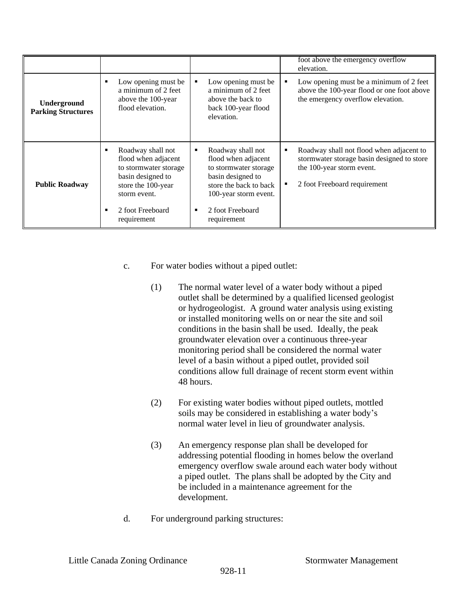|                                          |                                                                                                                                                                           |                                                                                                                                                                                        | foot above the emergency overflow<br>elevation.                                                                                                               |
|------------------------------------------|---------------------------------------------------------------------------------------------------------------------------------------------------------------------------|----------------------------------------------------------------------------------------------------------------------------------------------------------------------------------------|---------------------------------------------------------------------------------------------------------------------------------------------------------------|
| Underground<br><b>Parking Structures</b> | Low opening must be<br>٠<br>a minimum of 2 feet<br>above the 100-year<br>flood elevation.                                                                                 | Low opening must be<br>٠<br>a minimum of 2 feet<br>above the back to<br>back 100-year flood<br>elevation.                                                                              | Low opening must be a minimum of 2 feet<br>٠<br>above the 100-year flood or one foot above<br>the emergency overflow elevation.                               |
| <b>Public Roadway</b>                    | Roadway shall not<br>٠<br>flood when adjacent<br>to stormwater storage<br>basin designed to<br>store the 100-year<br>storm event.<br>2 foot Freeboard<br>٠<br>requirement | Roadway shall not<br>٠<br>flood when adjacent<br>to stormwater storage<br>basin designed to<br>store the back to back<br>100-year storm event.<br>2 foot Freeboard<br>п<br>requirement | Roadway shall not flood when adjacent to<br>п<br>stormwater storage basin designed to store<br>the 100-year storm event.<br>2 foot Freeboard requirement<br>п |

- c. For water bodies without a piped outlet:
	- (1) The normal water level of a water body without a piped outlet shall be determined by a qualified licensed geologist or hydrogeologist. A ground water analysis using existing or installed monitoring wells on or near the site and soil conditions in the basin shall be used. Ideally, the peak groundwater elevation over a continuous three-year monitoring period shall be considered the normal water level of a basin without a piped outlet, provided soil conditions allow full drainage of recent storm event within 48 hours.
	- (2) For existing water bodies without piped outlets, mottled soils may be considered in establishing a water body's normal water level in lieu of groundwater analysis.
	- (3) An emergency response plan shall be developed for addressing potential flooding in homes below the overland emergency overflow swale around each water body without a piped outlet. The plans shall be adopted by the City and be included in a maintenance agreement for the development.
- d. For underground parking structures: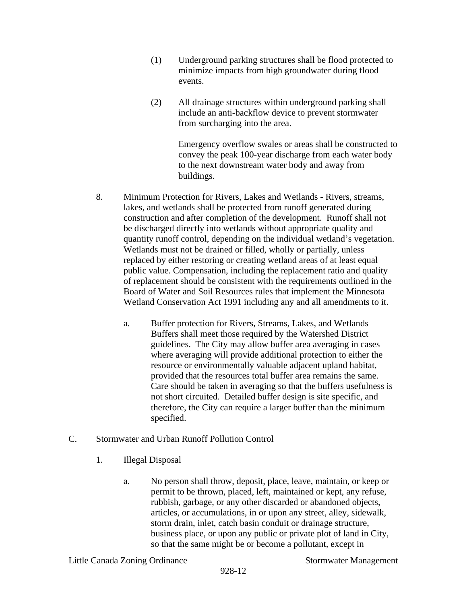- (1) Underground parking structures shall be flood protected to minimize impacts from high groundwater during flood events.
- (2) All drainage structures within underground parking shall include an anti-backflow device to prevent stormwater from surcharging into the area.

Emergency overflow swales or areas shall be constructed to convey the peak 100-year discharge from each water body to the next downstream water body and away from buildings.

- 8. Minimum Protection for Rivers, Lakes and Wetlands Rivers, streams, lakes, and wetlands shall be protected from runoff generated during construction and after completion of the development. Runoff shall not be discharged directly into wetlands without appropriate quality and quantity runoff control, depending on the individual wetland's vegetation. Wetlands must not be drained or filled, wholly or partially, unless replaced by either restoring or creating wetland areas of at least equal public value. Compensation, including the replacement ratio and quality of replacement should be consistent with the requirements outlined in the Board of Water and Soil Resources rules that implement the Minnesota Wetland Conservation Act 1991 including any and all amendments to it.
	- a. Buffer protection for Rivers, Streams, Lakes, and Wetlands Buffers shall meet those required by the Watershed District guidelines. The City may allow buffer area averaging in cases where averaging will provide additional protection to either the resource or environmentally valuable adjacent upland habitat, provided that the resources total buffer area remains the same. Care should be taken in averaging so that the buffers usefulness is not short circuited. Detailed buffer design is site specific, and therefore, the City can require a larger buffer than the minimum specified.
- C. Stormwater and Urban Runoff Pollution Control
	- 1. Illegal Disposal
		- a. No person shall throw, deposit, place, leave, maintain, or keep or permit to be thrown, placed, left, maintained or kept, any refuse, rubbish, garbage, or any other discarded or abandoned objects, articles, or accumulations, in or upon any street, alley, sidewalk, storm drain, inlet, catch basin conduit or drainage structure, business place, or upon any public or private plot of land in City, so that the same might be or become a pollutant, except in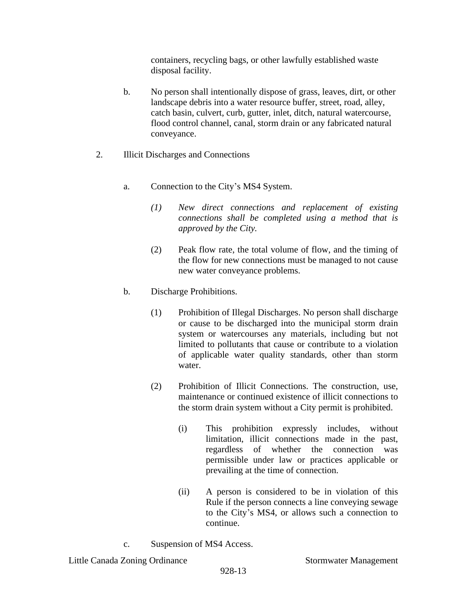containers, recycling bags, or other lawfully established waste disposal facility.

- b. No person shall intentionally dispose of grass, leaves, dirt, or other landscape debris into a water resource buffer, street, road, alley, catch basin, culvert, curb, gutter, inlet, ditch, natural watercourse, flood control channel, canal, storm drain or any fabricated natural conveyance.
- 2. Illicit Discharges and Connections
	- a. Connection to the City's MS4 System.
		- *(1) New direct connections and replacement of existing connections shall be completed using a method that is approved by the City.*
		- (2) Peak flow rate, the total volume of flow, and the timing of the flow for new connections must be managed to not cause new water conveyance problems.
	- b. Discharge Prohibitions.
		- (1) Prohibition of Illegal Discharges. No person shall discharge or cause to be discharged into the municipal storm drain system or watercourses any materials, including but not limited to pollutants that cause or contribute to a violation of applicable water quality standards, other than storm water.
		- (2) Prohibition of Illicit Connections. The construction, use, maintenance or continued existence of illicit connections to the storm drain system without a City permit is prohibited.
			- (i) This prohibition expressly includes, without limitation, illicit connections made in the past, regardless of whether the connection was permissible under law or practices applicable or prevailing at the time of connection.
			- (ii) A person is considered to be in violation of this Rule if the person connects a line conveying sewage to the City's MS4, or allows such a connection to continue.
	- c. Suspension of MS4 Access.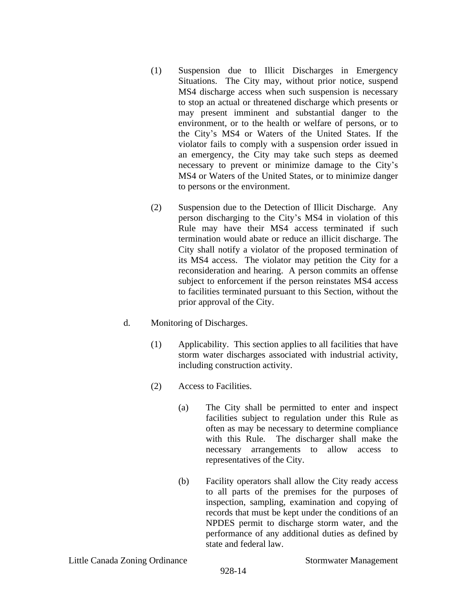- (1) Suspension due to Illicit Discharges in Emergency Situations. The City may, without prior notice, suspend MS4 discharge access when such suspension is necessary to stop an actual or threatened discharge which presents or may present imminent and substantial danger to the environment, or to the health or welfare of persons, or to the City's MS4 or Waters of the United States. If the violator fails to comply with a suspension order issued in an emergency, the City may take such steps as deemed necessary to prevent or minimize damage to the City's MS4 or Waters of the United States, or to minimize danger to persons or the environment.
- (2) Suspension due to the Detection of Illicit Discharge. Any person discharging to the City's MS4 in violation of this Rule may have their MS4 access terminated if such termination would abate or reduce an illicit discharge. The City shall notify a violator of the proposed termination of its MS4 access. The violator may petition the City for a reconsideration and hearing. A person commits an offense subject to enforcement if the person reinstates MS4 access to facilities terminated pursuant to this Section, without the prior approval of the City.
- d. Monitoring of Discharges.
	- (1) Applicability. This section applies to all facilities that have storm water discharges associated with industrial activity, including construction activity.
	- (2) Access to Facilities.
		- (a) The City shall be permitted to enter and inspect facilities subject to regulation under this Rule as often as may be necessary to determine compliance with this Rule. The discharger shall make the necessary arrangements to allow access to representatives of the City.
		- (b) Facility operators shall allow the City ready access to all parts of the premises for the purposes of inspection, sampling, examination and copying of records that must be kept under the conditions of an NPDES permit to discharge storm water, and the performance of any additional duties as defined by state and federal law.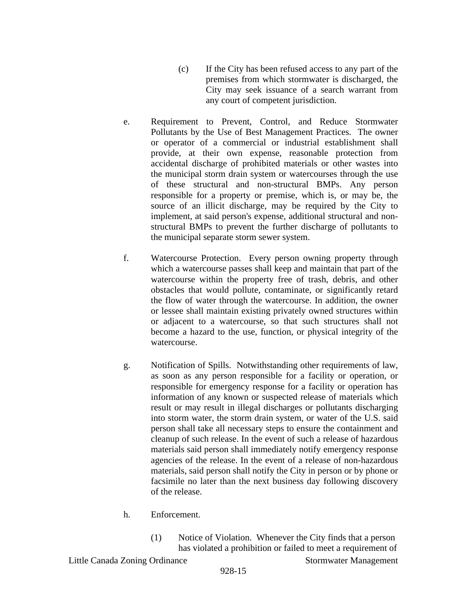- (c) If the City has been refused access to any part of the premises from which stormwater is discharged, the City may seek issuance of a search warrant from any court of competent jurisdiction.
- e. Requirement to Prevent, Control, and Reduce Stormwater Pollutants by the Use of Best Management Practices. The owner or operator of a commercial or industrial establishment shall provide, at their own expense, reasonable protection from accidental discharge of prohibited materials or other wastes into the municipal storm drain system or watercourses through the use of these structural and non-structural BMPs. Any person responsible for a property or premise, which is, or may be, the source of an illicit discharge, may be required by the City to implement, at said person's expense, additional structural and nonstructural BMPs to prevent the further discharge of pollutants to the municipal separate storm sewer system.
- f. Watercourse Protection. Every person owning property through which a watercourse passes shall keep and maintain that part of the watercourse within the property free of trash, debris, and other obstacles that would pollute, contaminate, or significantly retard the flow of water through the watercourse. In addition, the owner or lessee shall maintain existing privately owned structures within or adjacent to a watercourse, so that such structures shall not become a hazard to the use, function, or physical integrity of the watercourse.
- g. Notification of Spills. Notwithstanding other requirements of law, as soon as any person responsible for a facility or operation, or responsible for emergency response for a facility or operation has information of any known or suspected release of materials which result or may result in illegal discharges or pollutants discharging into storm water, the storm drain system, or water of the U.S. said person shall take all necessary steps to ensure the containment and cleanup of such release. In the event of such a release of hazardous materials said person shall immediately notify emergency response agencies of the release. In the event of a release of non-hazardous materials, said person shall notify the City in person or by phone or facsimile no later than the next business day following discovery of the release.
- h. Enforcement.
	- (1) Notice of Violation.Whenever the City finds that a person has violated a prohibition or failed to meet a requirement of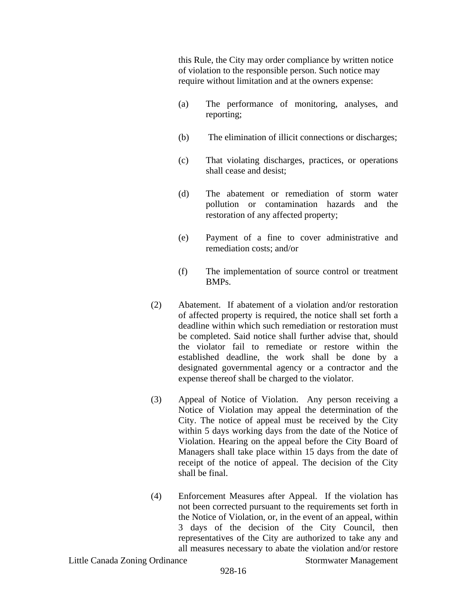this Rule, the City may order compliance by written notice of violation to the responsible person. Such notice may require without limitation and at the owners expense:

- (a) The performance of monitoring, analyses, and reporting;
- (b) The elimination of illicit connections or discharges;
- (c) That violating discharges, practices, or operations shall cease and desist;
- (d) The abatement or remediation of storm water pollution or contamination hazards and the restoration of any affected property;
- (e) Payment of a fine to cover administrative and remediation costs; and/or
- (f) The implementation of source control or treatment BMPs.
- (2) Abatement. If abatement of a violation and/or restoration of affected property is required, the notice shall set forth a deadline within which such remediation or restoration must be completed. Said notice shall further advise that, should the violator fail to remediate or restore within the established deadline, the work shall be done by a designated governmental agency or a contractor and the expense thereof shall be charged to the violator.
- (3) Appeal of Notice of Violation. Any person receiving a Notice of Violation may appeal the determination of the City. The notice of appeal must be received by the City within 5 days working days from the date of the Notice of Violation. Hearing on the appeal before the City Board of Managers shall take place within 15 days from the date of receipt of the notice of appeal. The decision of the City shall be final.
- (4) Enforcement Measures after Appeal. If the violation has not been corrected pursuant to the requirements set forth in the Notice of Violation, or, in the event of an appeal, within 3 days of the decision of the City Council, then representatives of the City are authorized to take any and all measures necessary to abate the violation and/or restore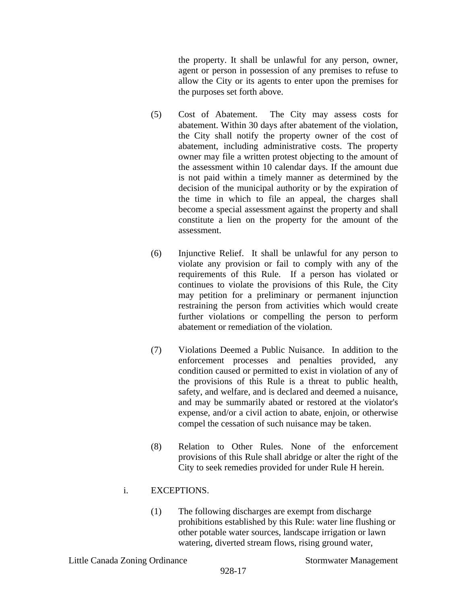the property. It shall be unlawful for any person, owner, agent or person in possession of any premises to refuse to allow the City or its agents to enter upon the premises for the purposes set forth above.

- (5) Cost of Abatement. The City may assess costs for abatement. Within 30 days after abatement of the violation, the City shall notify the property owner of the cost of abatement, including administrative costs. The property owner may file a written protest objecting to the amount of the assessment within 10 calendar days. If the amount due is not paid within a timely manner as determined by the decision of the municipal authority or by the expiration of the time in which to file an appeal, the charges shall become a special assessment against the property and shall constitute a lien on the property for the amount of the assessment.
- (6) Injunctive Relief. It shall be unlawful for any person to violate any provision or fail to comply with any of the requirements of this Rule. If a person has violated or continues to violate the provisions of this Rule, the City may petition for a preliminary or permanent injunction restraining the person from activities which would create further violations or compelling the person to perform abatement or remediation of the violation.
- (7) Violations Deemed a Public Nuisance. In addition to the enforcement processes and penalties provided, any condition caused or permitted to exist in violation of any of the provisions of this Rule is a threat to public health, safety, and welfare, and is declared and deemed a nuisance, and may be summarily abated or restored at the violator's expense, and/or a civil action to abate, enjoin, or otherwise compel the cessation of such nuisance may be taken.
- (8) Relation to Other Rules. None of the enforcement provisions of this Rule shall abridge or alter the right of the City to seek remedies provided for under Rule H herein.

# i. EXCEPTIONS.

(1) The following discharges are exempt from discharge prohibitions established by this Rule: water line flushing or other potable water sources, landscape irrigation or lawn watering, diverted stream flows, rising ground water,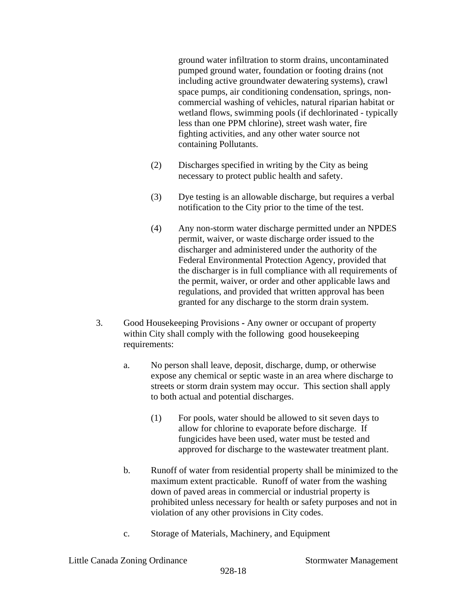ground water infiltration to storm drains, uncontaminated pumped ground water, foundation or footing drains (not including active groundwater dewatering systems), crawl space pumps, air conditioning condensation, springs, noncommercial washing of vehicles, natural riparian habitat or wetland flows, swimming pools (if dechlorinated - typically less than one PPM chlorine), street wash water, fire fighting activities, and any other water source not containing Pollutants.

- (2) Discharges specified in writing by the City as being necessary to protect public health and safety.
- (3) Dye testing is an allowable discharge, but requires a verbal notification to the City prior to the time of the test.
- (4) Any non-storm water discharge permitted under an NPDES permit, waiver, or waste discharge order issued to the discharger and administered under the authority of the Federal Environmental Protection Agency, provided that the discharger is in full compliance with all requirements of the permit, waiver, or order and other applicable laws and regulations, and provided that written approval has been granted for any discharge to the storm drain system.
- 3. Good Housekeeping Provisions **-** Any owner or occupant of property within City shall comply with the following good housekeeping requirements:
	- a. No person shall leave, deposit, discharge, dump, or otherwise expose any chemical or septic waste in an area where discharge to streets or storm drain system may occur. This section shall apply to both actual and potential discharges.
		- (1) For pools, water should be allowed to sit seven days to allow for chlorine to evaporate before discharge. If fungicides have been used, water must be tested and approved for discharge to the wastewater treatment plant.
	- b. Runoff of water from residential property shall be minimized to the maximum extent practicable. Runoff of water from the washing down of paved areas in commercial or industrial property is prohibited unless necessary for health or safety purposes and not in violation of any other provisions in City codes.
	- c. Storage of Materials, Machinery, and Equipment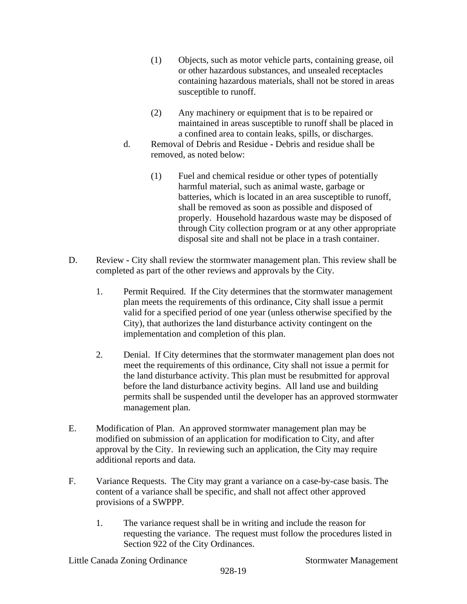- (1) Objects, such as motor vehicle parts, containing grease, oil or other hazardous substances, and unsealed receptacles containing hazardous materials, shall not be stored in areas susceptible to runoff.
- (2) Any machinery or equipment that is to be repaired or maintained in areas susceptible to runoff shall be placed in a confined area to contain leaks, spills, or discharges.
- d. Removal of Debris and ResidueDebris and residue shall be removed, as noted below:
	- (1) Fuel and chemical residue or other types of potentially harmful material, such as animal waste, garbage or batteries, which is located in an area susceptible to runoff, shall be removed as soon as possible and disposed of properly. Household hazardous waste may be disposed of through City collection program or at any other appropriate disposal site and shall not be place in a trash container.
- D. Review City shall review the stormwater management plan. This review shall be completed as part of the other reviews and approvals by the City.
	- 1. Permit Required. If the City determines that the stormwater management plan meets the requirements of this ordinance, City shall issue a permit valid for a specified period of one year (unless otherwise specified by the City), that authorizes the land disturbance activity contingent on the implementation and completion of this plan.
	- 2. Denial. If City determines that the stormwater management plan does not meet the requirements of this ordinance, City shall not issue a permit for the land disturbance activity. This plan must be resubmitted for approval before the land disturbance activity begins. All land use and building permits shall be suspended until the developer has an approved stormwater management plan.
- E. Modification of Plan.An approved stormwater management plan may be modified on submission of an application for modification to City, and after approval by the City. In reviewing such an application, the City may require additional reports and data.
- F. Variance Requests. The City may grant a variance on a case-by-case basis. The content of a variance shall be specific, and shall not affect other approved provisions of a SWPPP.
	- 1. The variance request shall be in writing and include the reason for requesting the variance. The request must follow the procedures listed in Section 922 of the City Ordinances.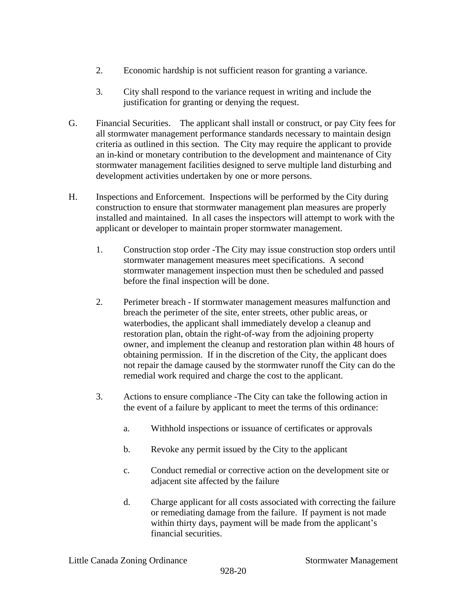- 2. Economic hardship is not sufficient reason for granting a variance.
- 3. City shall respond to the variance request in writing and include the justification for granting or denying the request.
- G. Financial Securities. The applicant shall install or construct, or pay City fees for all stormwater management performance standards necessary to maintain design criteria as outlined in this section. The City may require the applicant to provide an in-kind or monetary contribution to the development and maintenance of City stormwater management facilities designed to serve multiple land disturbing and development activities undertaken by one or more persons.
- H. Inspections and Enforcement. Inspections will be performed by the City during construction to ensure that stormwater management plan measures are properly installed and maintained. In all cases the inspectors will attempt to work with the applicant or developer to maintain proper stormwater management.
	- 1. Construction stop order -The City may issue construction stop orders until stormwater management measures meet specifications. A second stormwater management inspection must then be scheduled and passed before the final inspection will be done.
	- 2. Perimeter breach If stormwater management measures malfunction and breach the perimeter of the site, enter streets, other public areas, or waterbodies, the applicant shall immediately develop a cleanup and restoration plan, obtain the right-of-way from the adjoining property owner, and implement the cleanup and restoration plan within 48 hours of obtaining permission. If in the discretion of the City, the applicant does not repair the damage caused by the stormwater runoff the City can do the remedial work required and charge the cost to the applicant.
	- 3. Actions to ensure compliance -The City can take the following action in the event of a failure by applicant to meet the terms of this ordinance:
		- a. Withhold inspections or issuance of certificates or approvals
		- b. Revoke any permit issued by the City to the applicant
		- c. Conduct remedial or corrective action on the development site or adjacent site affected by the failure
		- d. Charge applicant for all costs associated with correcting the failure or remediating damage from the failure. If payment is not made within thirty days, payment will be made from the applicant's financial securities.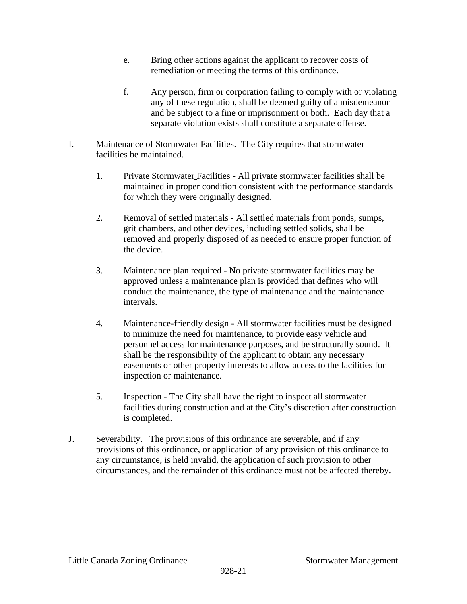- e. Bring other actions against the applicant to recover costs of remediation or meeting the terms of this ordinance.
- f. Any person, firm or corporation failing to comply with or violating any of these regulation, shall be deemed guilty of a misdemeanor and be subject to a fine or imprisonment or both. Each day that a separate violation exists shall constitute a separate offense.
- I. Maintenance of Stormwater Facilities.The City requires that stormwater facilities be maintained.
	- 1. Private Stormwater Facilities All private stormwater facilities shall be maintained in proper condition consistent with the performance standards for which they were originally designed.
	- 2. Removal of settled materials All settled materials from ponds, sumps, grit chambers, and other devices, including settled solids, shall be removed and properly disposed of as needed to ensure proper function of the device.
	- 3. Maintenance plan required No private stormwater facilities may be approved unless a maintenance plan is provided that defines who will conduct the maintenance, the type of maintenance and the maintenance intervals.
	- 4. Maintenance-friendly design All stormwater facilities must be designed to minimize the need for maintenance, to provide easy vehicle and personnel access for maintenance purposes, and be structurally sound. It shall be the responsibility of the applicant to obtain any necessary easements or other property interests to allow access to the facilities for inspection or maintenance.
	- 5. Inspection The City shall have the right to inspect all stormwater facilities during construction and at the City's discretion after construction is completed.
- J. Severability.The provisions of this ordinance are severable, and if any provisions of this ordinance, or application of any provision of this ordinance to any circumstance, is held invalid, the application of such provision to other circumstances, and the remainder of this ordinance must not be affected thereby.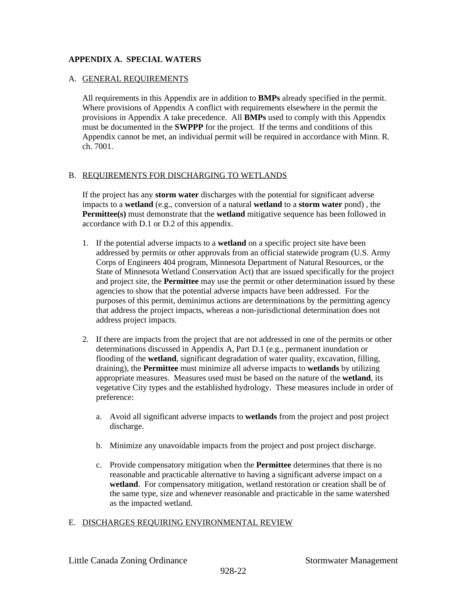#### **APPENDIX A. SPECIAL WATERS**

#### A. GENERAL REQUIREMENTS

All requirements in this Appendix are in addition to **BMPs** already specified in the permit. Where provisions of Appendix A conflict with requirements elsewhere in the permit the provisions in Appendix A take precedence. All **BMPs** used to comply with this Appendix must be documented in the **SWPPP** for the project. If the terms and conditions of this Appendix cannot be met, an individual permit will be required in accordance with Minn. R. ch. 7001.

#### B. REQUIREMENTS FOR DISCHARGING TO WETLANDS

If the project has any **storm water** discharges with the potential for significant adverse impacts to a **wetland** (e.g., conversion of a natural **wetland** to a **storm water** pond) , the **Permittee(s)** must demonstrate that the **wetland** mitigative sequence has been followed in accordance with D.1 or D.2 of this appendix.

- 1. If the potential adverse impacts to a **wetland** on a specific project site have been addressed by permits or other approvals from an official statewide program (U.S. Army Corps of Engineers 404 program, Minnesota Department of Natural Resources, or the State of Minnesota Wetland Conservation Act) that are issued specifically for the project and project site, the **Permittee** may use the permit or other determination issued by these agencies to show that the potential adverse impacts have been addressed. For the purposes of this permit, deminimus actions are determinations by the permitting agency that address the project impacts, whereas a non-jurisdictional determination does not address project impacts.
- 2. If there are impacts from the project that are not addressed in one of the permits or other determinations discussed in Appendix A, Part D.1 (e.g., permanent inundation or flooding of the **wetland**, significant degradation of water quality, excavation, filling, draining), the **Permittee** must minimize all adverse impacts to **wetlands** by utilizing appropriate measures. Measures used must be based on the nature of the **wetland**, its vegetative City types and the established hydrology. These measures include in order of preference:
	- a. Avoid all significant adverse impacts to **wetlands** from the project and post project discharge.
	- b. Minimize any unavoidable impacts from the project and post project discharge.
	- c. Provide compensatory mitigation when the **Permittee** determines that there is no reasonable and practicable alternative to having a significant adverse impact on a **wetland**. For compensatory mitigation, wetland restoration or creation shall be of the same type, size and whenever reasonable and practicable in the same watershed as the impacted wetland.

## E. DISCHARGES REQUIRING ENVIRONMENTAL REVIEW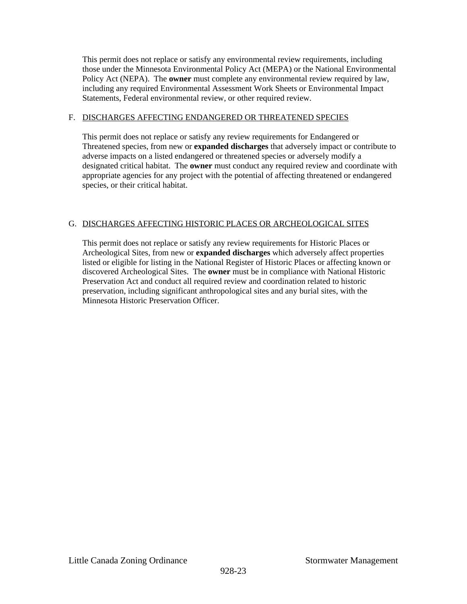This permit does not replace or satisfy any environmental review requirements, including those under the Minnesota Environmental Policy Act (MEPA) or the National Environmental Policy Act (NEPA). The **owner** must complete any environmental review required by law, including any required Environmental Assessment Work Sheets or Environmental Impact Statements, Federal environmental review, or other required review.

#### F. DISCHARGES AFFECTING ENDANGERED OR THREATENED SPECIES

This permit does not replace or satisfy any review requirements for Endangered or Threatened species, from new or **expanded discharges** that adversely impact or contribute to adverse impacts on a listed endangered or threatened species or adversely modify a designated critical habitat. The **owner** must conduct any required review and coordinate with appropriate agencies for any project with the potential of affecting threatened or endangered species, or their critical habitat.

## G. DISCHARGES AFFECTING HISTORIC PLACES OR ARCHEOLOGICAL SITES

This permit does not replace or satisfy any review requirements for Historic Places or Archeological Sites, from new or **expanded discharges** which adversely affect properties listed or eligible for listing in the National Register of Historic Places or affecting known or discovered Archeological Sites. The **owner** must be in compliance with National Historic Preservation Act and conduct all required review and coordination related to historic preservation, including significant anthropological sites and any burial sites, with the Minnesota Historic Preservation Officer.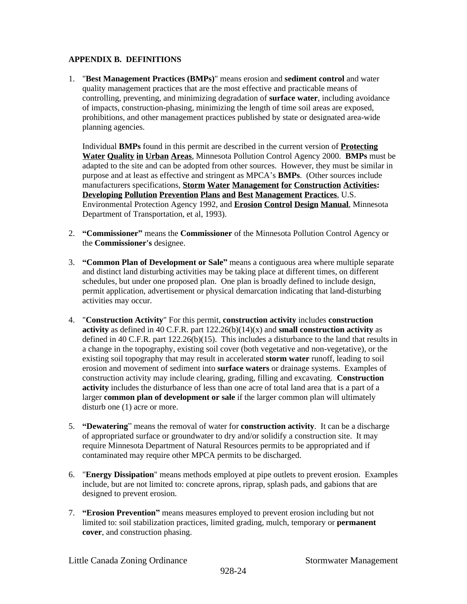#### **APPENDIX B. DEFINITIONS**

1. "**Best Management Practices (BMPs)**" means erosion and **sediment control** and water quality management practices that are the most effective and practicable means of controlling, preventing, and minimizing degradation of **surface water**, including avoidance of impacts, construction-phasing, minimizing the length of time soil areas are exposed, prohibitions, and other management practices published by state or designated area-wide planning agencies.

Individual **BMPs** found in this permit are described in the current version of **Protecting Water Quality in Urban Areas**, Minnesota Pollution Control Agency 2000. **BMPs** must be adapted to the site and can be adopted from other sources. However, they must be similar in purpose and at least as effective and stringent as MPCA's **BMPs**. (Other sources include manufacturers specifications, **Storm Water Management for Construction Activities: Developing Pollution Prevention Plans and Best Management Practices**, U.S. Environmental Protection Agency 1992, and **Erosion Control Design Manual**, Minnesota Department of Transportation, et al, 1993).

- 2. **"Commissioner"** means the **Commissioner** of the Minnesota Pollution Control Agency or the **Commissioner's** designee.
- 3. **"Common Plan of Development or Sale"** means a contiguous area where multiple separate and distinct land disturbing activities may be taking place at different times, on different schedules, but under one proposed plan. One plan is broadly defined to include design, permit application, advertisement or physical demarcation indicating that land-disturbing activities may occur.
- 4. "**Construction Activity**" For this permit, **construction activity** includes **construction activity** as defined in 40 C.F.R. part 122.26(b)(14)(x) and **small construction activity** as defined in 40 C.F.R. part  $122.26(b)(15)$ . This includes a disturbance to the land that results in a change in the topography, existing soil cover (both vegetative and non-vegetative), or the existing soil topography that may result in accelerated **storm water** runoff, leading to soil erosion and movement of sediment into **surface waters** or drainage systems. Examples of construction activity may include clearing, grading, filling and excavating. **Construction activity** includes the disturbance of less than one acre of total land area that is a part of a larger **common plan of development or sale** if the larger common plan will ultimately disturb one (1) acre or more.
- 5. **"Dewatering**" means the removal of water for **construction activity**. It can be a discharge of appropriated surface or groundwater to dry and/or solidify a construction site. It may require Minnesota Department of Natural Resources permits to be appropriated and if contaminated may require other MPCA permits to be discharged.
- 6. "**Energy Dissipation**" means methods employed at pipe outlets to prevent erosion. Examples include, but are not limited to: concrete aprons, riprap, splash pads, and gabions that are designed to prevent erosion.
- 7. **"Erosion Prevention"** means measures employed to prevent erosion including but not limited to: soil stabilization practices, limited grading, mulch, temporary or **permanent cover**, and construction phasing.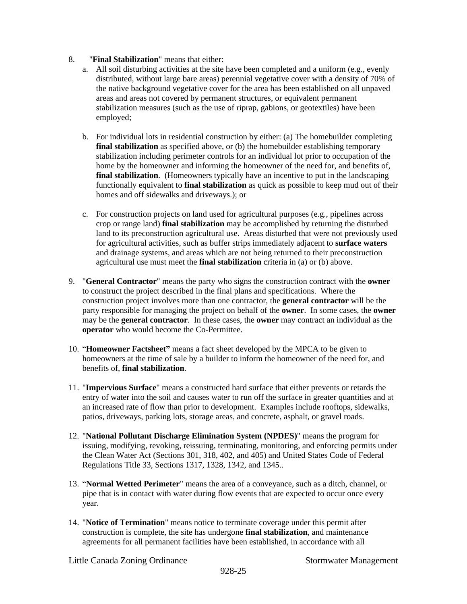- 8. "**Final Stabilization**" means that either:
	- a. All soil disturbing activities at the site have been completed and a uniform (e.g., evenly distributed, without large bare areas) perennial vegetative cover with a density of 70% of the native background vegetative cover for the area has been established on all unpaved areas and areas not covered by permanent structures, or equivalent permanent stabilization measures (such as the use of riprap, gabions, or geotextiles) have been employed;
	- b. For individual lots in residential construction by either: (a) The homebuilder completing **final stabilization** as specified above, or (b) the homebuilder establishing temporary stabilization including perimeter controls for an individual lot prior to occupation of the home by the homeowner and informing the homeowner of the need for, and benefits of, **final stabilization.** (Homeowners typically have an incentive to put in the landscaping functionally equivalent to **final stabilization** as quick as possible to keep mud out of their homes and off sidewalks and driveways.); or
	- c. For construction projects on land used for agricultural purposes (e.g., pipelines across crop or range land) **final stabilization** may be accomplished by returning the disturbed land to its preconstruction agricultural use. Areas disturbed that were not previously used for agricultural activities, such as buffer strips immediately adjacent to **surface waters** and drainage systems, and areas which are not being returned to their preconstruction agricultural use must meet the **final stabilization** criteria in (a) or (b) above.
- 9. "**General Contractor**" means the party who signs the construction contract with the **owner** to construct the project described in the final plans and specifications. Where the construction project involves more than one contractor, the **general contractor** will be the party responsible for managing the project on behalf of the **owner**. In some cases, the **owner** may be the **general contractor**. In these cases, the **owner** may contract an individual as the **operator** who would become the Co-Permittee.
- 10. "**Homeowner Factsheet"** means a fact sheet developed by the MPCA to be given to homeowners at the time of sale by a builder to inform the homeowner of the need for, and benefits of, **final stabilization**.
- 11. "**Impervious Surface**" means a constructed hard surface that either prevents or retards the entry of water into the soil and causes water to run off the surface in greater quantities and at an increased rate of flow than prior to development. Examples include rooftops, sidewalks, patios, driveways, parking lots, storage areas, and concrete, asphalt, or gravel roads.
- 12. "**National Pollutant Discharge Elimination System (NPDES)**" means the program for issuing, modifying, revoking, reissuing, terminating, monitoring, and enforcing permits under the Clean Water Act (Sections 301, 318, 402, and 405) and United States Code of Federal Regulations Title 33, Sections 1317, 1328, 1342, and 1345..
- 13. "**Normal Wetted Perimeter**" means the area of a conveyance, such as a ditch, channel, or pipe that is in contact with water during flow events that are expected to occur once every year.
- 14. "**Notice of Termination**" means notice to terminate coverage under this permit after construction is complete, the site has undergone **final stabilization**, and maintenance agreements for all permanent facilities have been established, in accordance with all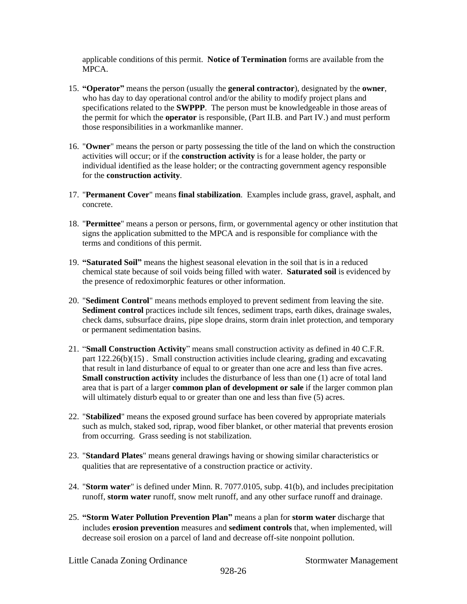applicable conditions of this permit. **Notice of Termination** forms are available from the MPCA.

- 15. **"Operator"** means the person (usually the **general contractor**), designated by the **owner**, who has day to day operational control and/or the ability to modify project plans and specifications related to the **SWPPP**. The person must be knowledgeable in those areas of the permit for which the **operator** is responsible, (Part II.B. and Part IV.) and must perform those responsibilities in a workmanlike manner.
- 16. "**Owner**" means the person or party possessing the title of the land on which the construction activities will occur; or if the **construction activity** is for a lease holder, the party or individual identified as the lease holder; or the contracting government agency responsible for the **construction activity**.
- 17. "**Permanent Cover**" means **final stabilization**. Examples include grass, gravel, asphalt, and concrete.
- 18. "**Permittee**" means a person or persons, firm, or governmental agency or other institution that signs the application submitted to the MPCA and is responsible for compliance with the terms and conditions of this permit.
- 19. **"Saturated Soil"** means the highest seasonal elevation in the soil that is in a reduced chemical state because of soil voids being filled with water. **Saturated soil** is evidenced by the presence of redoximorphic features or other information.
- 20. "**Sediment Control**" means methods employed to prevent sediment from leaving the site. **Sediment control** practices include silt fences, sediment traps, earth dikes, drainage swales, check dams, subsurface drains, pipe slope drains, storm drain inlet protection, and temporary or permanent sedimentation basins.
- 21. "**Small Construction Activity**" means small construction activity as defined in 40 C.F.R. part 122.26(b)(15) . Small construction activities include clearing, grading and excavating that result in land disturbance of equal to or greater than one acre and less than five acres. **Small construction activity** includes the disturbance of less than one (1) acre of total land area that is part of a larger **common plan of development or sale** if the larger common plan will ultimately disturb equal to or greater than one and less than five (5) acres.
- 22. "**Stabilized**" means the exposed ground surface has been covered by appropriate materials such as mulch, staked sod, riprap, wood fiber blanket, or other material that prevents erosion from occurring. Grass seeding is not stabilization.
- 23. "**Standard Plates**" means general drawings having or showing similar characteristics or qualities that are representative of a construction practice or activity.
- 24. "**Storm water**" is defined under Minn. R. 7077.0105, subp. 41(b), and includes precipitation runoff, **storm water** runoff, snow melt runoff, and any other surface runoff and drainage.
- 25. **"Storm Water Pollution Prevention Plan"** means a plan for **storm water** discharge that includes **erosion prevention** measures and **sediment controls** that, when implemented, will decrease soil erosion on a parcel of land and decrease off-site nonpoint pollution.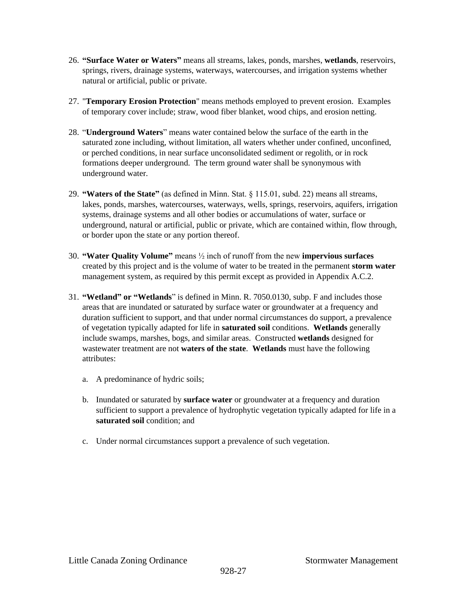- 26. **"Surface Water or Waters"** means all streams, lakes, ponds, marshes, **wetlands**, reservoirs, springs, rivers, drainage systems, waterways, watercourses, and irrigation systems whether natural or artificial, public or private.
- 27. "**Temporary Erosion Protection**" means methods employed to prevent erosion. Examples of temporary cover include; straw, wood fiber blanket, wood chips, and erosion netting.
- 28. "**Underground Waters**" means water contained below the surface of the earth in the saturated zone including, without limitation, all waters whether under confined, unconfined, or perched conditions, in near surface unconsolidated sediment or regolith, or in rock formations deeper underground. The term ground water shall be synonymous with underground water.
- 29. **"Waters of the State"** (as defined in Minn. Stat. § 115.01, subd. 22) means all streams, lakes, ponds, marshes, watercourses, waterways, wells, springs, reservoirs, aquifers, irrigation systems, drainage systems and all other bodies or accumulations of water, surface or underground, natural or artificial, public or private, which are contained within, flow through, or border upon the state or any portion thereof.
- 30. **"Water Quality Volume"** means ½ inch of runoff from the new **impervious surfaces** created by this project and is the volume of water to be treated in the permanent **storm water** management system, as required by this permit except as provided in Appendix A.C.2.
- 31. **"Wetland" or "Wetlands**" is defined in Minn. R. 7050.0130, subp. F and includes those areas that are inundated or saturated by surface water or groundwater at a frequency and duration sufficient to support, and that under normal circumstances do support, a prevalence of vegetation typically adapted for life in **saturated soil** conditions. **Wetlands** generally include swamps, marshes, bogs, and similar areas. Constructed **wetlands** designed for wastewater treatment are not **waters of the state**. **Wetlands** must have the following attributes:
	- a. A predominance of hydric soils;
	- b. Inundated or saturated by **surface water** or groundwater at a frequency and duration sufficient to support a prevalence of hydrophytic vegetation typically adapted for life in a **saturated soil** condition; and
	- c. Under normal circumstances support a prevalence of such vegetation.